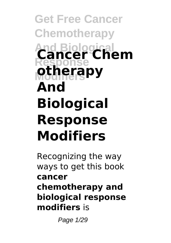# **Get Free Cancer Chemotherapy And Biological Cancer Chem Response Modifiers otherapy And Biological Response Modifiers**

Recognizing the way ways to get this book **cancer chemotherapy and biological response modifiers** is

Page 1/29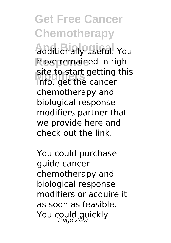**Get Free Cancer Chemotherapy And Biological** additionally useful. You have remained in right **Modifiers** info. get the cancer site to start getting this chemotherapy and biological response modifiers partner that we provide here and check out the link.

You could purchase guide cancer chemotherapy and biological response modifiers or acquire it as soon as feasible. You could quickly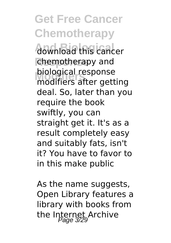**Get Free Cancer Chemotherapy** download this cancer **Response** chemotherapy and **Modifiers** modifiers after getting biological response deal. So, later than you require the book swiftly, you can straight get it. It's as a result completely easy and suitably fats, isn't it? You have to favor to in this make public

As the name suggests. Open Library features a library with books from the Internet Archive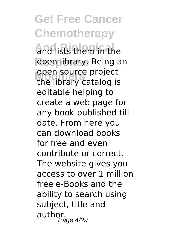**Get Free Cancer Chemotherapy And Biological** and lists them in the **Response** open library. Being an open source project<br>the library catalog is open source project editable helping to create a web page for any book published till date. From here you can download books for free and even contribute or correct. The website gives you access to over 1 million free e-Books and the ability to search using subject, title and  $\frac{5}{2}$ author.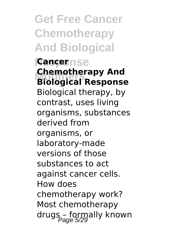**Get Free Cancer Chemotherapy And Biological Response Cancer Modifiers Biological Response Chemotherapy And** Biological therapy, by contrast, uses living organisms, substances derived from organisms, or laboratory-made versions of those

substances to act against cancer cells. How does chemotherapy work? Most chemotherapy drugs - formally known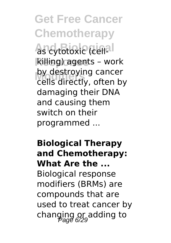**Get Free Cancer Chemotherapy** as cytotoxic (cell<sup>al</sup> **killing) agents - work** by destroying cancer<br>Cells directly, often h cells directly, often by damaging their DNA and causing them switch on their programmed ...

#### **Biological Therapy and Chemotherapy: What Are the ...**

Biological response modifiers (BRMs) are compounds that are used to treat cancer by changing or adding to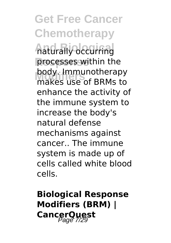**Get Free Cancer Chemotherapy And Biological** naturally occurring processes within the **Modifiers** makes use of BRMs to body. Immunotherapy enhance the activity of the immune system to increase the body's natural defense mechanisms against cancer.. The immune system is made up of cells called white blood cells.

### **Biological Response Modifiers (BRM) | CancerQuest**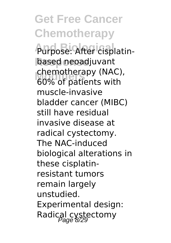**Get Free Cancer Chemotherapy And Biological** Purpose: After cisplatin-**Response** based neoadjuvant **Modifiers** 60% of patients with chemotherapy (NAC), muscle-invasive bladder cancer (MIBC) still have residual invasive disease at radical cystectomy. The NAC-induced biological alterations in these cisplatinresistant tumors remain largely unstudied. Experimental design: Radical cystectomy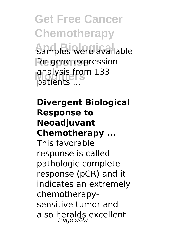**Get Free Cancer Chemotherapy** samples were available for gene expression **Modifiers** patients ... analysis from 133

#### **Divergent Biological Response to Neoadjuvant Chemotherapy ...**

This favorable response is called pathologic complete response (pCR) and it indicates an extremely chemotherapysensitive tumor and also heralds excellent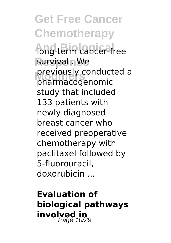**Get Free Cancer Chemotherapy** long-term cancer-free survival **n** We **Modifiers** pharmacogenomic previously conducted a study that included 133 patients with newly diagnosed breast cancer who received preoperative chemotherapy with paclitaxel followed by 5-fluorouracil, doxorubicin ...

**Evaluation of biological pathways involyed in**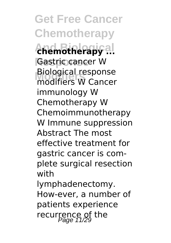**Get Free Cancer Chemotherapy And Biological chemotherapy ... Response** Gastric cancer W **Modifiers** modifiers W Cancer Biological response immunology W Chemotherapy W Chemoimmunotherapy W Immune suppression Abstract The most effective treatment for gastric cancer is complete surgical resection with lymphadenectomy. How-ever, a number of patients experience recurrence of the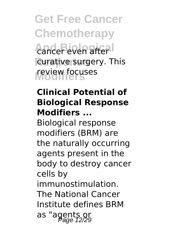**Get Free Cancer Chemotherapy** cancer even after curative surgery. This **Modifiers** review focuses

#### **Clinical Potential of Biological Response Modifiers ...**

Biological response modifiers (BRM) are the naturally occurring agents present in the body to destroy cancer cells by immunostimulation. The National Cancer Institute defines BRM as "agents or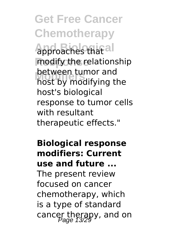**Get Free Cancer Chemotherapy Approaches that all** modify the relationship **Modifiers** host by modifying the between tumor and host's biological response to tumor cells with resultant therapeutic effects."

**Biological response modifiers: Current use and future ...** The present review focused on cancer chemotherapy, which is a type of standard cancer therapy, and on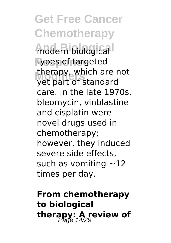**Get Free Cancer Chemotherapy And Biological** modern biological types of targeted **Modifiers** yet part of standard therapy, which are not care. In the late 1970s, bleomycin, vinblastine and cisplatin were novel drugs used in chemotherapy; however, they induced severe side effects, such as vomiting  $\sim$ 12 times per day.

**From chemotherapy to biological** therapy: A review of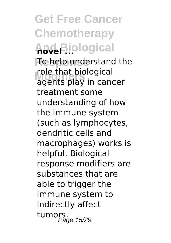**Get Free Cancer Chemotherapy And Biological novel ... Response** To help understand the role that ploiogical<br>agents play in cancer role that biological treatment some understanding of how the immune system (such as lymphocytes, dendritic cells and macrophages) works is helpful. Biological response modifiers are substances that are able to trigger the immune system to indirectly affect tumors.<br>Page 15/29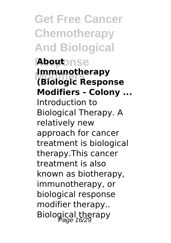**Get Free Cancer Chemotherapy And Biological Response About Modifiers (Biologic Response Immunotherapy Modifiers - Colony ...** Introduction to Biological Therapy. A relatively new approach for cancer treatment is biological therapy.This cancer treatment is also known as biotherapy, immunotherapy, or biological response modifier therapy.. Biological therapy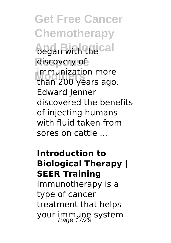**Get Free Cancer Chemotherapy began with the call** discovery of **Modifiers** than 200 years ago. immunization more Edward Jenner discovered the benefits of injecting humans with fluid taken from sores on cattle ...

#### **Introduction to Biological Therapy | SEER Training** Immunotherapy is a

type of cancer treatment that helps your immune system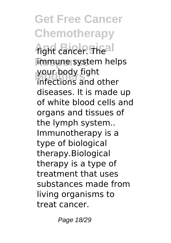**Get Free Cancer Chemotherapy fight cancer Theal Response** immune system helps your body light<br>infections and other your body fight diseases. It is made up of white blood cells and organs and tissues of the lymph system.. Immunotherapy is a type of biological therapy.Biological therapy is a type of treatment that uses substances made from living organisms to treat cancer.

Page 18/29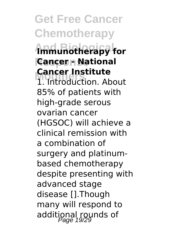**Get Free Cancer Chemotherapy And Biological Immunotherapy for Response Cancer - National Mancer Institute**<br>1. Introduction. About **Cancer Institute** 85% of patients with high-grade serous ovarian cancer (HGSOC) will achieve a clinical remission with a combination of surgery and platinumbased chemotherapy despite presenting with advanced stage disease [].Though many will respond to additional rounds of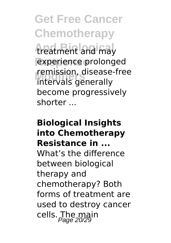**Get Free Cancer Chemotherapy** treatment and may experience prolonged **Modifiers** intervals generally remission, disease-free become progressively shorter ...

#### **Biological Insights into Chemotherapy Resistance in ...** What's the difference between biological therapy and chemotherapy? Both forms of treatment are used to destroy cancer cells. The main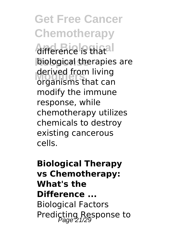**Get Free Cancer Chemotherapy Aifference** is thatal **biological therapies are** aerived from living<br>
organisms that can derived from living modify the immune response, while chemotherapy utilizes chemicals to destroy existing cancerous cells.

**Biological Therapy vs Chemotherapy: What's the Difference ...** Biological Factors Predicting Response to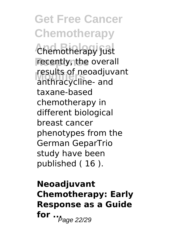**Get Free Cancer Chemotherapy Chemotherapy Just** recently, the overall **Modifiers** anthracycline- and results of neoadjuvant taxane-based chemotherapy in different biological breast cancer phenotypes from the German GeparTrio study have been published ( 16 ).

**Neoadjuvant Chemotherapy: Early Response as a Guide for** ...<sub>*Page* 22/29</sub>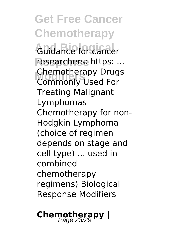**Get Free Cancer Chemotherapy** Guidance for cancer researchers: https: ... **Chemotherapy Drugs**<br>Commonly Used For Commonly Used For Treating Malignant Lymphomas Chemotherapy for non-Hodgkin Lymphoma (choice of regimen depends on stage and cell type) ... used in combined chemotherapy regimens) Biological Response Modifiers

**Chemotherapy** |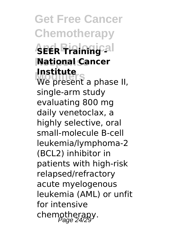**Get Free Cancer Chemotherapy And Biological SEER Training - Response National Cancer Modifiers**<br>We present a phase II, **Institute** single-arm study evaluating 800 mg daily venetoclax, a highly selective, oral small-molecule B-cell leukemia/lymphoma-2 (BCL2) inhibitor in

patients with high-risk relapsed/refractory acute myelogenous leukemia (AML) or unfit for intensive chemotherapy.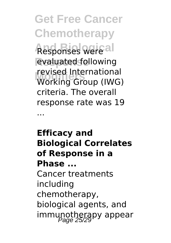**Get Free Cancer Chemotherapy Responses were all** evaluated following **Modifiers** Working Group (IWG) revised International criteria. The overall response rate was 19

...

**Efficacy and Biological Correlates of Response in a Phase ...**

Cancer treatments including chemotherapy, biological agents, and immunotherapy appear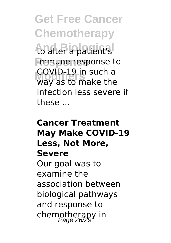**Get Free Cancer Chemotherapy** to alter a patient's *<u>immune</u>* response to **Modifiers** way as to make the COVID-19 in such a infection less severe if these ...

#### **Cancer Treatment May Make COVID-19 Less, Not More, Severe** Our goal was to examine the association between biological pathways and response to chemotherapy in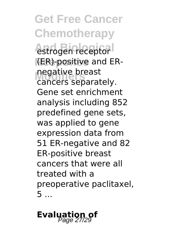**Get Free Cancer Chemotherapy** estrogen receptor **Response** (ER)-positive and ERnegative breast<br>Cancers separat cancers separately. Gene set enrichment analysis including 852 predefined gene sets, was applied to gene expression data from 51 ER-negative and 82 ER-positive breast cancers that were all treated with a preoperative paclitaxel, 5 ...

## **Evaluation of**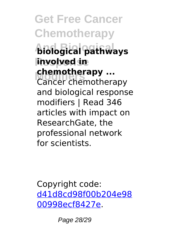**Get Free Cancer Chemotherapy And Biological biological pathways Response involved in chemotherapy ...**<br>Cancer chemothera Cancer chemotherapy and biological response modifiers | Read 346 articles with impact on ResearchGate, the professional network for scientists.

Copyright code: [d41d8cd98f00b204e98](/sitemap.xml) [00998ecf8427e.](/sitemap.xml)

Page 28/29